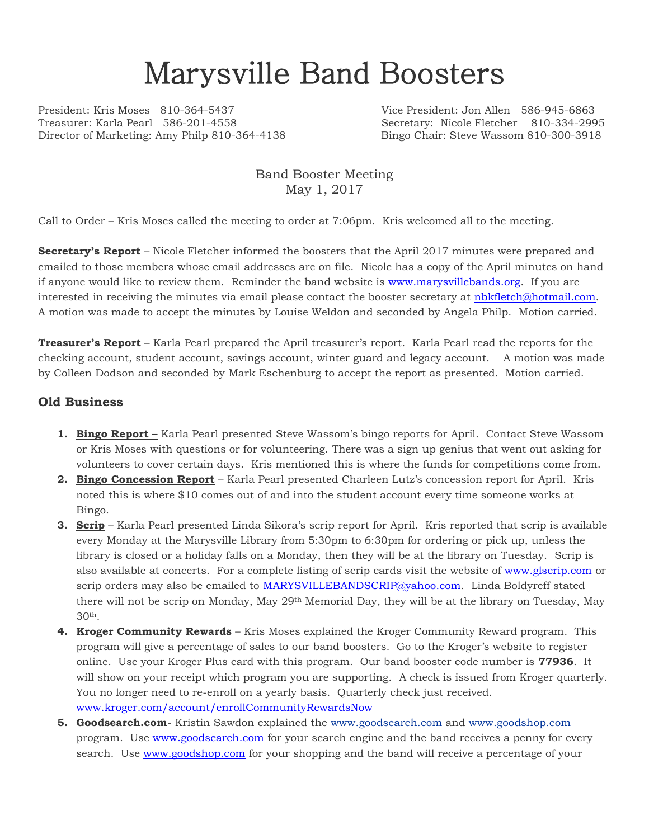# Marysville Band Boosters

President: Kris Moses 810-364-5437 Vice President: Jon Allen 586-945-6863 Treasurer: Karla Pearl 586-201-4558 Secretary: Nicole Fletcher 810-334-2995 Director of Marketing: Amy Philp 810-364-4138 Bingo Chair: Steve Wassom 810-300-3918

Band Booster Meeting May 1, 2017

Call to Order – Kris Moses called the meeting to order at 7:06pm. Kris welcomed all to the meeting.

**Secretary's Report** – Nicole Fletcher informed the boosters that the April 2017 minutes were prepared and emailed to those members whose email addresses are on file. Nicole has a copy of the April minutes on hand if anyone would like to review them. Reminder the band website is [www.marysvillebands.org.](http://www.marysvillebands.org/) If you are interested in receiving the minutes via email please contact the booster secretary at [nbkfletch@hotmail.com.](mailto:nbkfletch@hotmail.com) A motion was made to accept the minutes by Louise Weldon and seconded by Angela Philp. Motion carried.

**Treasurer's Report** – Karla Pearl prepared the April treasurer's report. Karla Pearl read the reports for the checking account, student account, savings account, winter guard and legacy account. A motion was made by Colleen Dodson and seconded by Mark Eschenburg to accept the report as presented. Motion carried.

#### **Old Business**

- **1. Bingo Report –** Karla Pearl presented Steve Wassom's bingo reports for April. Contact Steve Wassom or Kris Moses with questions or for volunteering. There was a sign up genius that went out asking for volunteers to cover certain days. Kris mentioned this is where the funds for competitions come from.
- **2. Bingo Concession Report** Karla Pearl presented Charleen Lutz's concession report for April. Kris noted this is where \$10 comes out of and into the student account every time someone works at Bingo.
- **3. Scrip** Karla Pearl presented Linda Sikora's scrip report for April. Kris reported that scrip is available every Monday at the Marysville Library from 5:30pm to 6:30pm for ordering or pick up, unless the library is closed or a holiday falls on a Monday, then they will be at the library on Tuesday. Scrip is also available at concerts. For a complete listing of scrip cards visit the website of [www.glscrip.com](http://www.glscrip.com/) or scrip orders may also be emailed to [MARYSVILLEBANDSCRIP@yahoo.com.](mailto:MARYSVILLEBANDSCRIP@yahoo.com) Linda Boldyreff stated there will not be scrip on Monday, May 29th Memorial Day, they will be at the library on Tuesday, May  $30<sup>th</sup>$
- **4. Kroger Community Rewards** Kris Moses explained the Kroger Community Reward program. This program will give a percentage of sales to our band boosters. Go to the Kroger's website to register online. Use your Kroger Plus card with this program. Our band booster code number is **77936**. It will show on your receipt which program you are supporting. A check is issued from Kroger quarterly. You no longer need to re-enroll on a yearly basis. Quarterly check just received. [www.kroger.com/account/enrollCommunityRewardsNow](http://www.kroger.com/account/enrollCommunityRewardsNow)
- **5. Goodsearch.com** Kristin Sawdon explained the [www.goodsearch.com](http://www.goodsearch.com/) and [www.goodshop.com](http://www.goodshop.com/) program. Use [www.goodsearch.com](http://www.goodsearch.com/) for your search engine and the band receives a penny for every search. Use [www.goodshop.com](http://www.goodshop.com/) for your shopping and the band will receive a percentage of your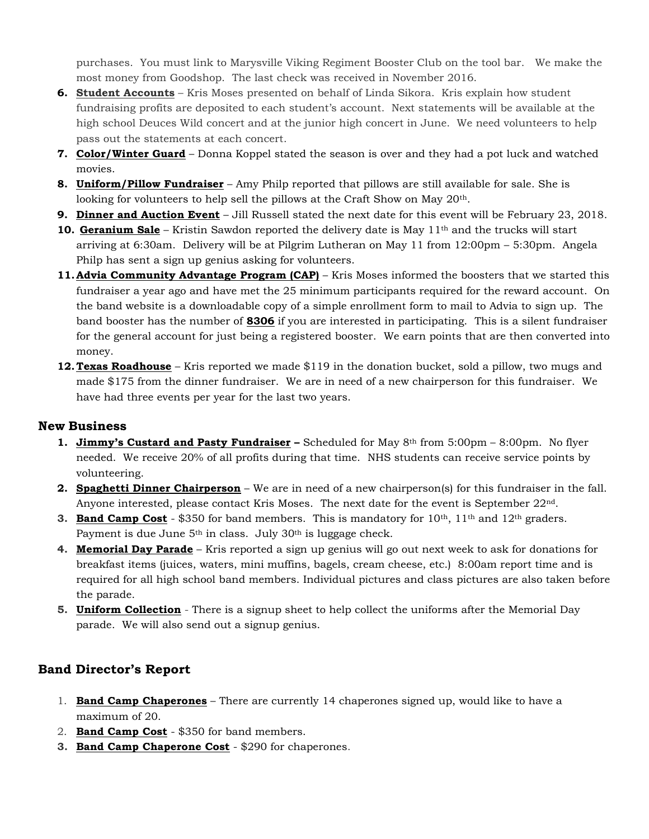purchases. You must link to Marysville Viking Regiment Booster Club on the tool bar. We make the most money from Goodshop. The last check was received in November 2016.

- **6. Student Accounts** Kris Moses presented on behalf of Linda Sikora. Kris explain how student fundraising profits are deposited to each student's account. Next statements will be available at the high school Deuces Wild concert and at the junior high concert in June. We need volunteers to help pass out the statements at each concert.
- **7. Color/Winter Guard** Donna Koppel stated the season is over and they had a pot luck and watched movies.
- **8. Uniform/Pillow Fundraiser** Amy Philp reported that pillows are still available for sale. She is looking for volunteers to help sell the pillows at the Craft Show on May 20th.
- **9. Dinner and Auction Event** Jill Russell stated the next date for this event will be February 23, 2018.
- **10. Geranium Sale** Kristin Sawdon reported the delivery date is May 11th and the trucks will start arriving at 6:30am. Delivery will be at Pilgrim Lutheran on May 11 from 12:00pm – 5:30pm. Angela Philp has sent a sign up genius asking for volunteers.
- **11. Advia Community Advantage Program (CAP)** Kris Moses informed the boosters that we started this fundraiser a year ago and have met the 25 minimum participants required for the reward account. On the band website is a downloadable copy of a simple enrollment form to mail to Advia to sign up. The band booster has the number of **8306** if you are interested in participating. This is a silent fundraiser for the general account for just being a registered booster. We earn points that are then converted into money.
- **12. Texas Roadhouse** Kris reported we made \$119 in the donation bucket, sold a pillow, two mugs and made \$175 from the dinner fundraiser. We are in need of a new chairperson for this fundraiser. We have had three events per year for the last two years.

#### **New Business**

- **1. Jimmy's Custard and Pasty Fundraiser –** Scheduled for May 8th from 5:00pm 8:00pm. No flyer needed. We receive 20% of all profits during that time. NHS students can receive service points by volunteering.
- **2. Spaghetti Dinner Chairperson** We are in need of a new chairperson(s) for this fundraiser in the fall. Anyone interested, please contact Kris Moses. The next date for the event is September 22nd.
- **3. Band Camp Cost** \$350 for band members. This is mandatory for 10<sup>th</sup>, 11<sup>th</sup> and 12<sup>th</sup> graders. Payment is due June  $5<sup>th</sup>$  in class. July 30<sup>th</sup> is luggage check.
- **4. Memorial Day Parade** Kris reported a sign up genius will go out next week to ask for donations for breakfast items (juices, waters, mini muffins, bagels, cream cheese, etc.) 8:00am report time and is required for all high school band members. Individual pictures and class pictures are also taken before the parade.
- **5. Uniform Collection** There is a signup sheet to help collect the uniforms after the Memorial Day parade. We will also send out a signup genius.

### **Band Director's Report**

- 1. **Band Camp Chaperones** There are currently 14 chaperones signed up, would like to have a maximum of 20.
- 2. **Band Camp Cost** \$350 for band members.
- **3. Band Camp Chaperone Cost** \$290 for chaperones.